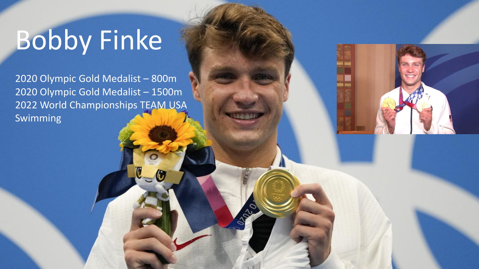## Bobby Finke

2020 Olympic Gold Medalist – 800m 2020 Olympic Gold Medalist – 1500m 2022 World Championships TEAM USA Swimming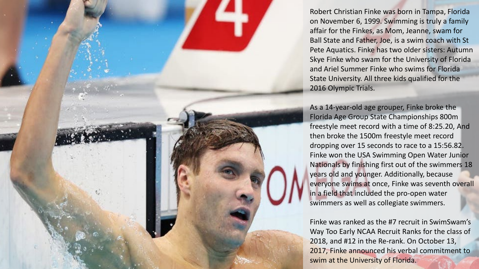Robert Christian Finke was born in Tampa, Florida on November 6, 1999. Swimming is truly a family affair for the Finkes, as Mom, Jeanne, swam for Ball State and Father, Joe, is a swim coach with St Pete Aquatics. Finke has two older sisters: Autumn Skye Finke who swam for the University of Florida and Ariel Summer Finke who swims for Florida State University. All three kids qualified for the 2016 Olympic Trials.

As a 14-year-old age grouper, Finke broke the Florida Age Group State Championships 800m freestyle meet record with a time of 8:25.20, And then broke the 1500m freestyle meet record dropping over 15 seconds to race to a 15:56.82. Finke won the USA Swimming Open Water Junior Nationals by finishing first out of the swimmers 18 years old and younger. Additionally, because everyone swims at once, Finke was seventh overall in a field that included the pro-open water swimmers as well as collegiate swimmers.

Finke was ranked as the #7 recruit in SwimSwam's Way Too Early NCAA Recruit Ranks for the class of 2018, and #12 in the Re-rank. On October 13, 2017, Finke announced his verbal commitment to swim at the University of Florida.